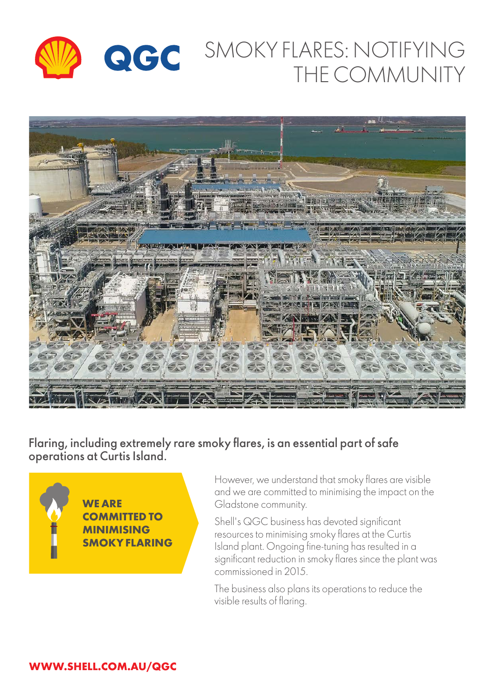

# SMOKY FLARES: NOTIFYING THE COMMUNITY



Flaring, including extremely rare smoky flares, is an essential part of safe operations at Curtis Island.



However, we understand that smoky flares are visible and we are committed to minimising the impact on the Gladstone community.

Shell's QGC business has devoted significant resources to minimising smoky flares at the Curtis Island plant. Ongoing fine-tuning has resulted in a significant reduction in smoky flares since the plant was commissioned in 2015.

The business also plans its operations to reduce the visible results of flaring.